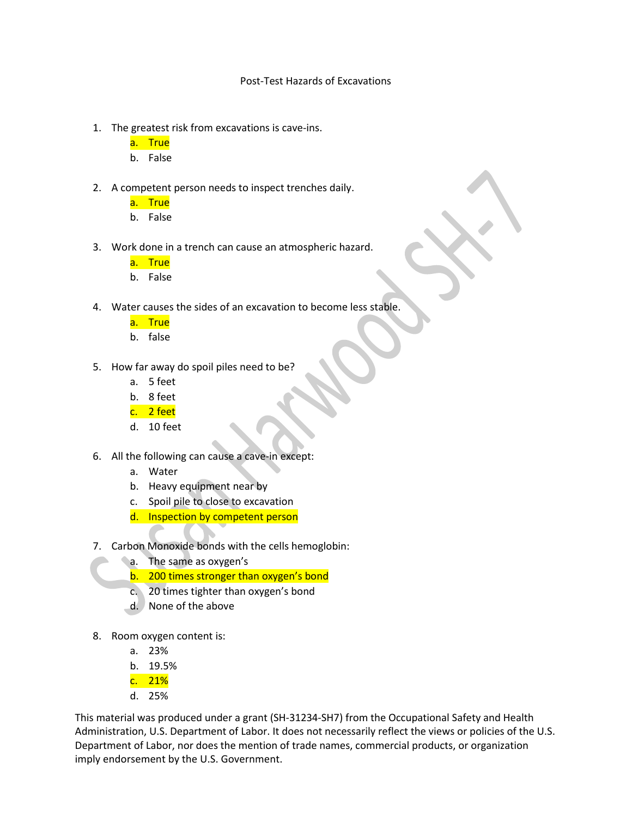## Post-Test Hazards of Excavations

- 1. The greatest risk from excavations is cave-ins.
	- a. True
	- b. False
- 2. A competent person needs to inspect trenches daily.
	- a. True
	- b. False
- 3. Work done in a trench can cause an atmospheric hazard.
	- a. True
	- b. False
- 4. Water causes the sides of an excavation to become less stable.
	- a. True
	- b. false
- 5. How far away do spoil piles need to be?
	- a. 5 feet
	- b. 8 feet
	- c. 2 feet
	- d. 10 feet
- 6. All the following can cause a cave-in except:
	- a. Water
	- b. Heavy equipment near by
	- c. Spoil pile to close to excavation
	- d. Inspection by competent person
- 7. Carbon Monoxide bonds with the cells hemoglobin:
	- a. The same as oxygen's
	- b. 200 times stronger than oxygen's bond
	- c. 20 times tighter than oxygen's bond
	- d. None of the above
- 8. Room oxygen content is:
	- a. 23%
	- b. 19.5%
	- c. 21%
	- d. 25%

This material was produced under a grant (SH-31234-SH7) from the Occupational Safety and Health Administration, U.S. Department of Labor. It does not necessarily reflect the views or policies of the U.S. Department of Labor, nor does the mention of trade names, commercial products, or organization imply endorsement by the U.S. Government.